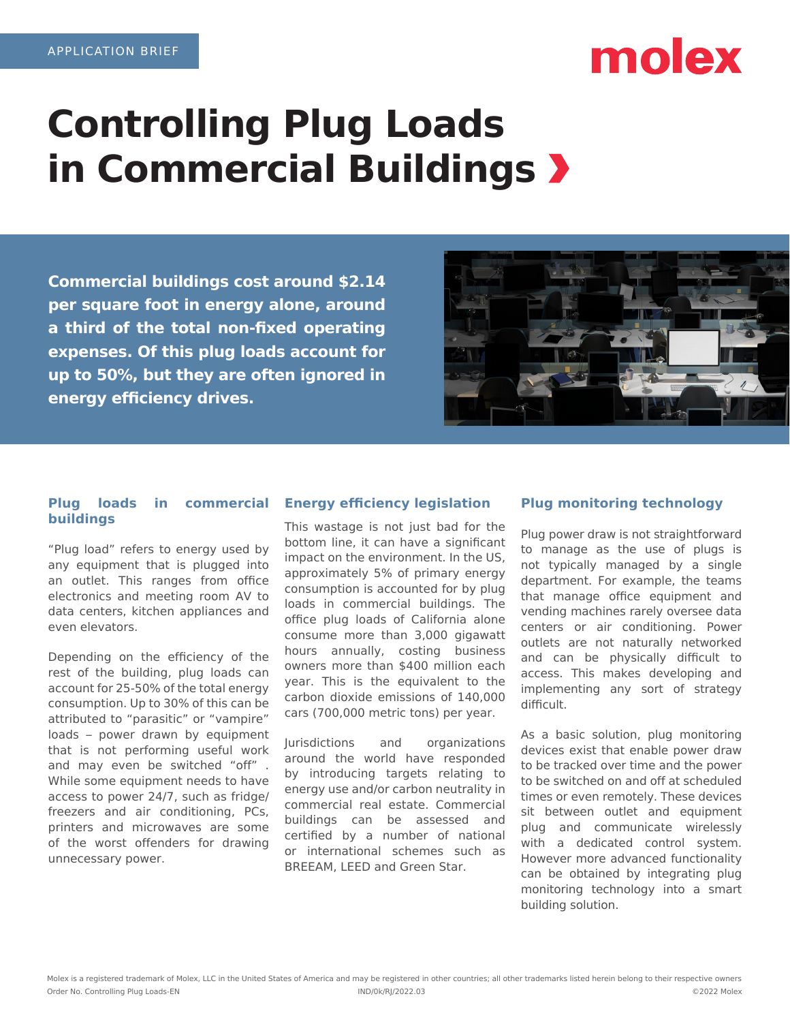# molex

# **Controlling Plug Loads in Commercial Buildings**

**Commercial buildings cost around \$2.14 per square foot in energy alone, around a third of the total non-fixed operating expenses. Of this plug loads account for up to 50%, but they are often ignored in energy efficiency drives.**



## **Plug loads in commercial buildings**

"Plug load" refers to energy used by any equipment that is plugged into an outlet. This ranges from office electronics and meeting room AV to data centers, kitchen appliances and even elevators.

Depending on the efficiency of the rest of the building, plug loads can account for 25-50% of the total energy consumption. Up to 30% of this can be attributed to "parasitic" or "vampire" loads – power drawn by equipment that is not performing useful work and may even be switched "off" . While some equipment needs to have access to power 24/7, such as fridge/ freezers and air conditioning, PCs, printers and microwaves are some of the worst offenders for drawing unnecessary power.

# **Energy efficiency legislation**

This wastage is not just bad for the bottom line, it can have a significant impact on the environment. In the US, approximately 5% of primary energy consumption is accounted for by plug loads in commercial buildings. The office plug loads of California alone consume more than 3,000 gigawatt hours annually, costing business owners more than \$400 million each year. This is the equivalent to the carbon dioxide emissions of 140,000 cars (700,000 metric tons) per year.

Jurisdictions and organizations around the world have responded by introducing targets relating to energy use and/or carbon neutrality in commercial real estate. Commercial buildings can be assessed and certified by a number of national or international schemes such as BREEAM, LEED and Green Star.

# **Plug monitoring technology**

Plug power draw is not straightforward to manage as the use of plugs is not typically managed by a single department. For example, the teams that manage office equipment and vending machines rarely oversee data centers or air conditioning. Power outlets are not naturally networked and can be physically difficult to access. This makes developing and implementing any sort of strategy difficult.

As a basic solution, plug monitoring devices exist that enable power draw to be tracked over time and the power to be switched on and off at scheduled times or even remotely. These devices sit between outlet and equipment plug and communicate wirelessly with a dedicated control system. However more advanced functionality can be obtained by integrating plug monitoring technology into a smart building solution.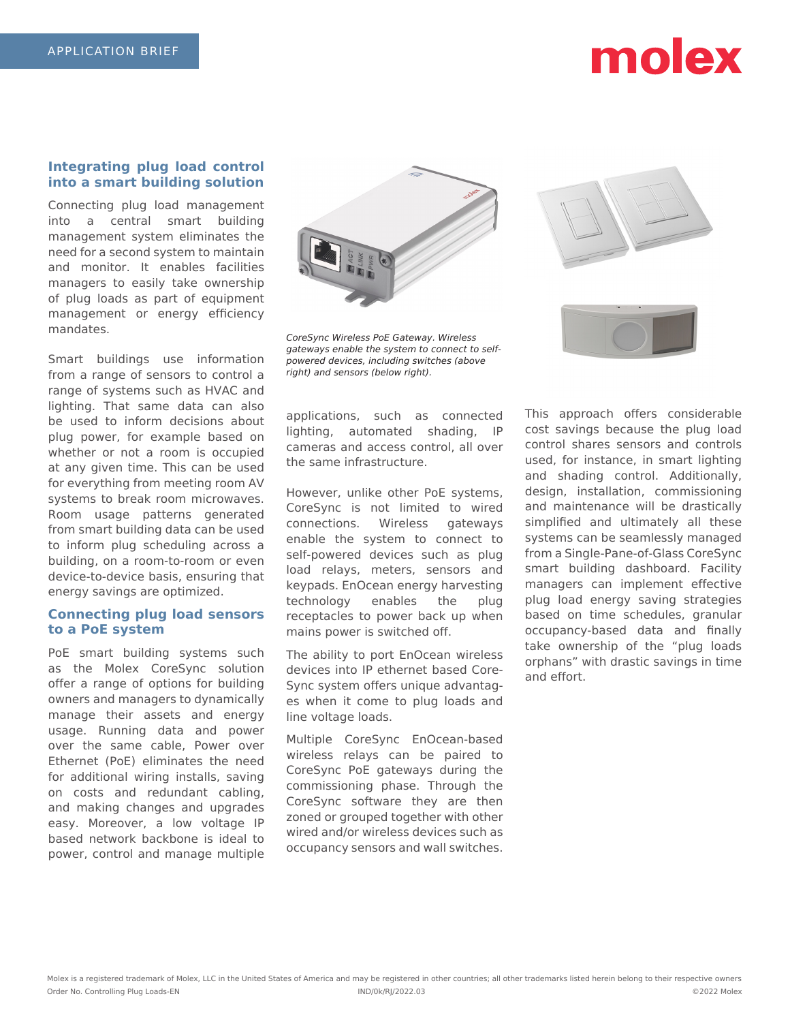# molex

### **Integrating plug load control into a smart building solution**

Connecting plug load management into a central smart building management system eliminates the need for a second system to maintain and monitor. It enables facilities managers to easily take ownership of plug loads as part of equipment management or energy efficiency mandates.

Smart buildings use information from a range of sensors to control a range of systems such as HVAC and lighting. That same data can also be used to inform decisions about plug power, for example based on whether or not a room is occupied at any given time. This can be used for everything from meeting room AV systems to break room microwaves. Room usage patterns generated from smart building data can be used to inform plug scheduling across a building, on a room-to-room or even device-to-device basis, ensuring that energy savings are optimized.

### **Connecting plug load sensors to a PoE system**

PoE smart building systems such as the Molex CoreSync solution offer a range of options for building owners and managers to dynamically manage their assets and energy usage. Running data and power over the same cable, Power over Ethernet (PoE) eliminates the need for additional wiring installs, saving on costs and redundant cabling, and making changes and upgrades easy. Moreover, a low voltage IP based network backbone is ideal to power, control and manage multiple



CoreSync Wireless PoE Gateway. Wireless gateways enable the system to connect to selfpowered devices, including switches (above right) and sensors (below right).

applications, such as connected lighting, automated shading, IP cameras and access control, all over the same infrastructure.

However, unlike other PoE systems, CoreSync is not limited to wired connections. Wireless gateways enable the system to connect to self-powered devices such as plug load relays, meters, sensors and keypads. EnOcean energy harvesting technology enables the plug receptacles to power back up when mains power is switched off.

The ability to port EnOcean wireless devices into IP ethernet based Core-Sync system offers unique advantages when it come to plug loads and line voltage loads.

Multiple CoreSync EnOcean-based wireless relays can be paired to CoreSync PoE gateways during the commissioning phase. Through the CoreSync software they are then zoned or grouped together with other wired and/or wireless devices such as occupancy sensors and wall switches.



This approach offers considerable cost savings because the plug load control shares sensors and controls used, for instance, in smart lighting and shading control. Additionally, design, installation, commissioning and maintenance will be drastically simplified and ultimately all these systems can be seamlessly managed from a Single-Pane-of-Glass CoreSync smart building dashboard. Facility managers can implement effective plug load energy saving strategies based on time schedules, granular occupancy-based data and finally take ownership of the "plug loads orphans" with drastic savings in time and effort.